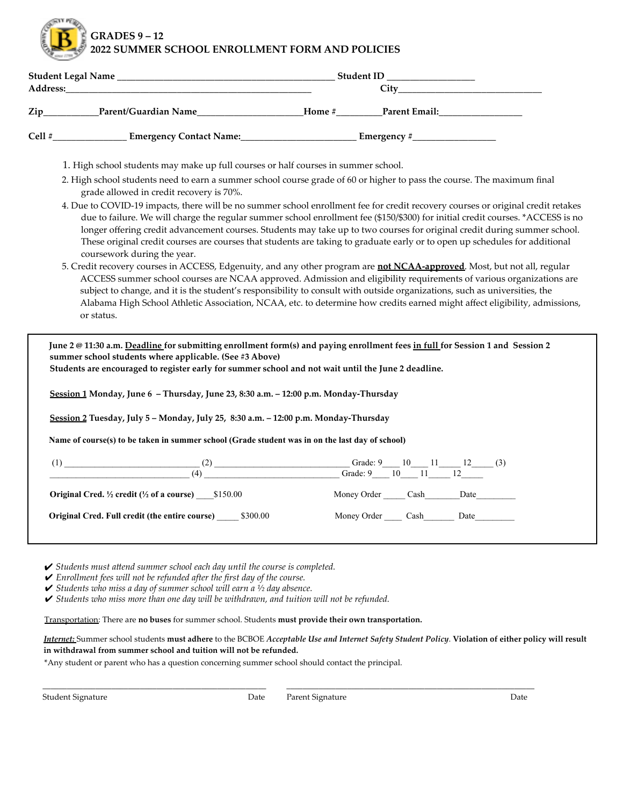**GRADES 9 – 12**

**2022 SUMMER SCHOOL ENROLLMENT FORM AND POLICIES**

|  |                                                                                                                         | Student ID __________________ |  |
|--|-------------------------------------------------------------------------------------------------------------------------|-------------------------------|--|
|  |                                                                                                                         |                               |  |
|  |                                                                                                                         | Home # Parent Email:          |  |
|  |                                                                                                                         |                               |  |
|  | 1. High school students may make up full courses or half courses in summer school.                                      |                               |  |
|  | 2. High school students need to earn a summer school course grade of 60 or higher to pass the course. The maximum final |                               |  |
|  | grade allowed in credit recovery is 70%.                                                                                |                               |  |

- 4. Due to COVID-19 impacts, there will be no summer school enrollment fee for credit recovery courses or original credit retakes due to failure. We will charge the regular summer school enrollment fee (\$150/\$300) for initial credit courses. \*ACCESS is no longer offering credit advancement courses. Students may take up to two courses for original credit during summer school. These original credit courses are courses that students are taking to graduate early or to open up schedules for additional coursework during the year.
- 5. Credit recovery courses in ACCESS, Edgenuity, and any other program are **not NCAA-approved**. Most, but not all, regular ACCESS summer school courses are NCAA approved. Admission and eligibility requirements of various organizations are subject to change, and it is the student's responsibility to consult with outside organizations, such as universities, the Alabama High School Athletic Association, NCAA, etc. to determine how credits earned might affect eligibility, admissions, or status.

June 2 @ 11:30 a.m. Deadline for submitting enrollment form(s) and paying enrollment fees in full for Session 1 and Session 2 **summer school students where applicable. (See #3 Above) Students are encouraged to register early for summer school and not wait until the June 2 deadline. Session 1 Monday, June 6 – Thursday, June 23, 8:30 a.m. – 12:00 p.m. Monday-Thursday Session 2 Tuesday, July 5 – Monday, July 25, 8:30 a.m. – 12:00 p.m. Monday-Thursday** Name of course(s) to be taken in summer school (Grade student was in on the last day of school)  $(1)$   $(2)$   $11$   $12$   $(3)$  $(4)$  Grade: 9  $10$   $11$   $12$ **Original Cred.**  $\frac{1}{2}$  **credit**  $\left(\frac{1}{2}$  **of a course**) \_\_\_\_\_\$150.00 Money Order \_\_\_\_\_\_ Cash\_\_\_\_\_\_\_Date\_\_\_\_\_ **Original Cred. Full credit (the entire course)** \_\_\_\_\_ \$300.00 Money Order \_\_\_\_ Cash\_\_\_\_\_\_\_ Date\_\_\_\_\_\_\_\_\_

✔ *Students must attend summer school each day until the course is completed.*

✔ *Enrollment fees will not be refunded after the first day of the course.*

✔ *Students who miss a day of summer school will earn a ½ day absence.*

✔ *Students who miss more than one day will be withdrawn, and tuition will not be refunded.*

Transportation: There are **no buses** for summer school. Students **must provide their own transportation.**

Internet: Summer school students must adhere to the BCBOE Acceptable Use and Internet Safety Student Policy. Violation of either policy will result **in withdrawal from summer school and tuition will not be refunded.**

\*Any student or parent who has a question concerning summer school should contact the principal.

\_\_\_\_\_\_\_\_\_\_\_\_\_\_\_\_\_\_\_\_\_\_\_\_\_\_\_\_\_\_\_\_\_\_\_\_\_\_\_\_\_\_\_\_\_\_\_\_\_\_\_\_\_\_\_ \_\_\_\_\_\_\_\_\_\_\_\_\_\_\_\_\_\_\_\_\_\_\_\_\_\_\_\_\_\_\_\_\_\_\_\_\_\_\_\_\_\_\_\_\_\_\_\_\_\_\_\_\_\_\_\_\_\_\_\_\_